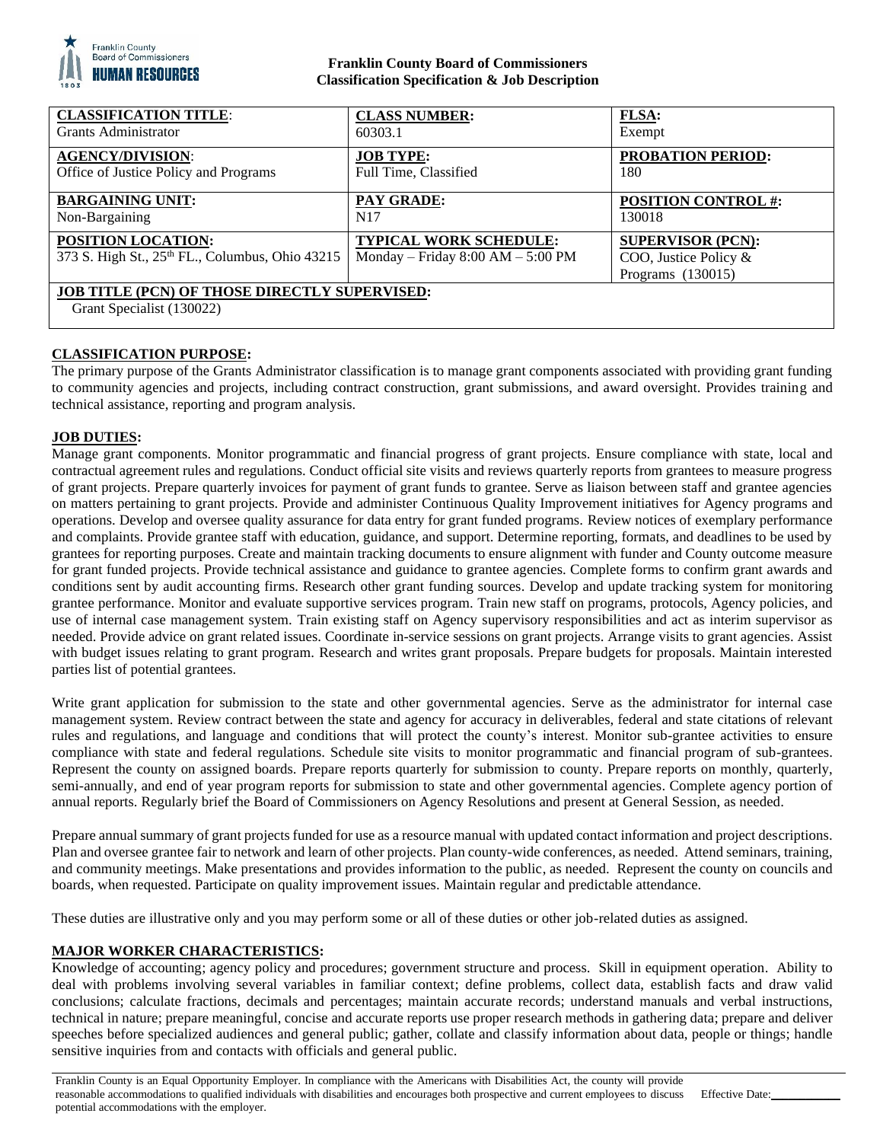

## **Franklin County Board of Commissioners Classification Specification & Job Description**

| <b>CLASSIFICATION TITLE:</b>                                                      | <b>CLASS NUMBER:</b>                                                   | <b>FLSA:</b>                                                             |
|-----------------------------------------------------------------------------------|------------------------------------------------------------------------|--------------------------------------------------------------------------|
| Grants Administrator                                                              | 60303.1                                                                | Exempt                                                                   |
| <b>AGENCY/DIVISION:</b>                                                           | <b>JOB TYPE:</b>                                                       | <b>PROBATION PERIOD:</b>                                                 |
| Office of Justice Policy and Programs                                             | Full Time, Classified                                                  | 180                                                                      |
| <b>BARGAINING UNIT:</b>                                                           | <b>PAY GRADE:</b>                                                      | <b>POSITION CONTROL #:</b>                                               |
| Non-Bargaining                                                                    | N <sub>17</sub>                                                        | 130018                                                                   |
| POSITION LOCATION:<br>373 S. High St., 25th FL., Columbus, Ohio 43215             | <b>TYPICAL WORK SCHEDULE:</b><br>Monday – Friday $8:00$ AM – $5:00$ PM | <b>SUPERVISOR (PCN):</b><br>COO, Justice Policy &<br>Programs $(130015)$ |
| <b>JOB TITLE (PCN) OF THOSE DIRECTLY SUPERVISED:</b><br>Grant Specialist (130022) |                                                                        |                                                                          |

# **CLASSIFICATION PURPOSE:**

The primary purpose of the Grants Administrator classification is to manage grant components associated with providing grant funding to community agencies and projects, including contract construction, grant submissions, and award oversight. Provides training and technical assistance, reporting and program analysis.

### **JOB DUTIES:**

Manage grant components. Monitor programmatic and financial progress of grant projects. Ensure compliance with state, local and contractual agreement rules and regulations. Conduct official site visits and reviews quarterly reports from grantees to measure progress of grant projects. Prepare quarterly invoices for payment of grant funds to grantee. Serve as liaison between staff and grantee agencies on matters pertaining to grant projects. Provide and administer Continuous Quality Improvement initiatives for Agency programs and operations. Develop and oversee quality assurance for data entry for grant funded programs. Review notices of exemplary performance and complaints. Provide grantee staff with education, guidance, and support. Determine reporting, formats, and deadlines to be used by grantees for reporting purposes. Create and maintain tracking documents to ensure alignment with funder and County outcome measure for grant funded projects. Provide technical assistance and guidance to grantee agencies. Complete forms to confirm grant awards and conditions sent by audit accounting firms. Research other grant funding sources. Develop and update tracking system for monitoring grantee performance. Monitor and evaluate supportive services program. Train new staff on programs, protocols, Agency policies, and use of internal case management system. Train existing staff on Agency supervisory responsibilities and act as interim supervisor as needed. Provide advice on grant related issues. Coordinate in-service sessions on grant projects. Arrange visits to grant agencies. Assist with budget issues relating to grant program. Research and writes grant proposals. Prepare budgets for proposals. Maintain interested parties list of potential grantees.

Write grant application for submission to the state and other governmental agencies. Serve as the administrator for internal case management system. Review contract between the state and agency for accuracy in deliverables, federal and state citations of relevant rules and regulations, and language and conditions that will protect the county's interest. Monitor sub-grantee activities to ensure compliance with state and federal regulations. Schedule site visits to monitor programmatic and financial program of sub-grantees. Represent the county on assigned boards. Prepare reports quarterly for submission to county. Prepare reports on monthly, quarterly, semi-annually, and end of year program reports for submission to state and other governmental agencies. Complete agency portion of annual reports. Regularly brief the Board of Commissioners on Agency Resolutions and present at General Session, as needed.

Prepare annual summary of grant projects funded for use as a resource manual with updated contact information and project descriptions. Plan and oversee grantee fair to network and learn of other projects. Plan county-wide conferences, as needed. Attend seminars, training, and community meetings. Make presentations and provides information to the public, as needed. Represent the county on councils and boards, when requested. Participate on quality improvement issues. Maintain regular and predictable attendance.

These duties are illustrative only and you may perform some or all of these duties or other job-related duties as assigned.

### **MAJOR WORKER CHARACTERISTICS:**

Knowledge of accounting; agency policy and procedures; government structure and process. Skill in equipment operation. Ability to deal with problems involving several variables in familiar context; define problems, collect data, establish facts and draw valid conclusions; calculate fractions, decimals and percentages; maintain accurate records; understand manuals and verbal instructions, technical in nature; prepare meaningful, concise and accurate reports use proper research methods in gathering data; prepare and deliver speeches before specialized audiences and general public; gather, collate and classify information about data, people or things; handle sensitive inquiries from and contacts with officials and general public.

Franklin County is an Equal Opportunity Employer. In compliance with the Americans with Disabilities Act, the county will provide reasonable accommodations to qualified individuals with disabilities and encourages both prospective and current employees to discuss potential accommodations with the employer.

Effective Date: